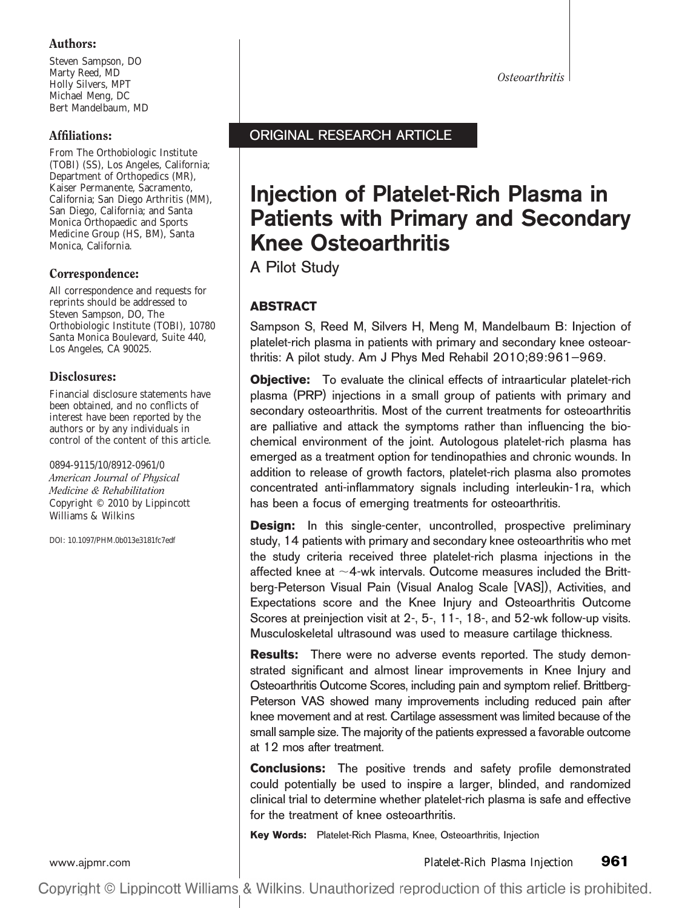# Authors:

Steven Sampson, DO Marty Reed, MD Holly Silvers, MPT Michael Meng, DC Bert Mandelbaum, MD

# Affiliations:

From The Orthobiologic Institute (TOBI) (SS), Los Angeles, California; Department of Orthopedics (MR), Kaiser Permanente, Sacramento, California; San Diego Arthritis (MM), San Diego, California; and Santa Monica Orthopaedic and Sports Medicine Group (HS, BM), Santa Monica, California.

# Correspondence:

All correspondence and requests for reprints should be addressed to Steven Sampson, DO, The Orthobiologic Institute (TOBI), 10780 Santa Monica Boulevard, Suite 440, Los Angeles, CA 90025.

# Disclosures:

Financial disclosure statements have been obtained, and no conflicts of interest have been reported by the authors or by any individuals in control of the content of this article.

0894-9115/10/8912-0961/0 *American Journal of Physical Medicine & Rehabilitation* Copyright © 2010 by Lippincott Williams & Wilkins

DOI: 10.1097/PHM.0b013e3181fc7edf

*Osteoarthritis*

# ORIGINAL RESEARCH ARTICLE

# **Injection of Platelet-Rich Plasma in Patients with Primary and Secondary Knee Osteoarthritis**

A Pilot Study

# **ABSTRACT**

Sampson S, Reed M, Silvers H, Meng M, Mandelbaum B: Injection of platelet-rich plasma in patients with primary and secondary knee osteoarthritis: A pilot study. Am J Phys Med Rehabil 2010;89:961–969.

**Objective:** To evaluate the clinical effects of intraarticular platelet-rich plasma (PRP) injections in a small group of patients with primary and secondary osteoarthritis. Most of the current treatments for osteoarthritis are palliative and attack the symptoms rather than influencing the biochemical environment of the joint. Autologous platelet-rich plasma has emerged as a treatment option for tendinopathies and chronic wounds. In addition to release of growth factors, platelet-rich plasma also promotes concentrated anti-inflammatory signals including interleukin-1ra, which has been a focus of emerging treatments for osteoarthritis.

**Design:** In this single-center, uncontrolled, prospective preliminary study, 14 patients with primary and secondary knee osteoarthritis who met the study criteria received three platelet-rich plasma injections in the affected knee at  $\sim$ 4-wk intervals. Outcome measures included the Brittberg-Peterson Visual Pain (Visual Analog Scale [VAS]), Activities, and Expectations score and the Knee Injury and Osteoarthritis Outcome Scores at preinjection visit at 2-, 5-, 11-, 18-, and 52-wk follow-up visits. Musculoskeletal ultrasound was used to measure cartilage thickness.

**Results:** There were no adverse events reported. The study demonstrated significant and almost linear improvements in Knee Injury and Osteoarthritis Outcome Scores, including pain and symptom relief. Brittberg-Peterson VAS showed many improvements including reduced pain after knee movement and at rest. Cartilage assessment was limited because of the small sample size. The majority of the patients expressed a favorable outcome at 12 mos after treatment.

**Conclusions:** The positive trends and safety profile demonstrated could potentially be used to inspire a larger, blinded, and randomized clinical trial to determine whether platelet-rich plasma is safe and effective for the treatment of knee osteoarthritis.

**Key Words:** Platelet-Rich Plasma, Knee, Osteoarthritis, Injection

[www.ajpmr.com](http://www.ajpmr.com) Platelet-Rich Plasma Injection **961**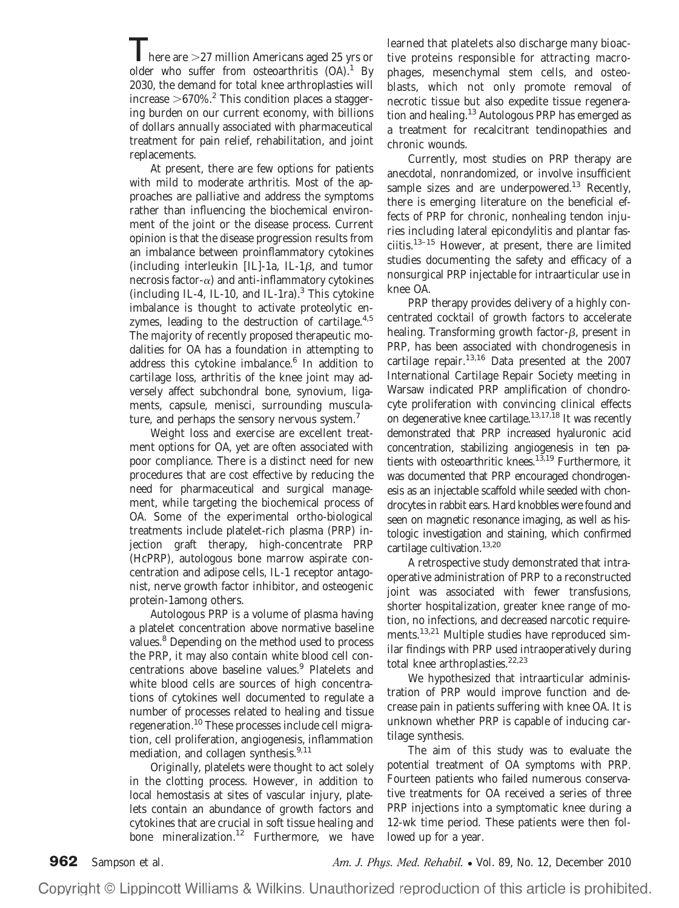$\sum_{n=1}^{\infty}$  here are  $>$ 27 million Americans aged 25 yrs or older who suffer from osteoarthritis  $(OA)^1$  By 2030, the demand for total knee arthroplasties will increase  $>670\%$ .<sup>2</sup> This condition places a staggering burden on our current economy, with billions of dollars annually associated with pharmaceutical treatment for pain relief, rehabilitation, and joint replacements.

At present, there are few options for patients with mild to moderate arthritis. Most of the approaches are palliative and address the symptoms rather than influencing the biochemical environment of the joint or the disease process. Current opinion is that the disease progression results from an imbalance between proinflammatory cytokines (including interleukin  $[IL]$ -1a, IL-1 $\beta$ , and tumor necrosis factor- $\alpha$ ) and anti-inflammatory cytokines (including IL-4, IL-10, and IL-1ra). $3$  This cytokine imbalance is thought to activate proteolytic enzymes, leading to the destruction of cartilage. $4.5$ The majority of recently proposed therapeutic modalities for OA has a foundation in attempting to address this cytokine imbalance.<sup>6</sup> In addition to cartilage loss, arthritis of the knee joint may adversely affect subchondral bone, synovium, ligaments, capsule, menisci, surrounding musculature, and perhaps the sensory nervous system.<sup>7</sup>

Weight loss and exercise are excellent treatment options for OA, yet are often associated with poor compliance. There is a distinct need for new procedures that are cost effective by reducing the need for pharmaceutical and surgical management, while targeting the biochemical process of OA. Some of the experimental ortho-biological treatments include platelet-rich plasma (PRP) injection graft therapy, high-concentrate PRP (HcPRP), autologous bone marrow aspirate concentration and adipose cells, IL-1 receptor antagonist, nerve growth factor inhibitor, and osteogenic protein-1among others.

Autologous PRP is a volume of plasma having a platelet concentration above normative baseline values.<sup>8</sup> Depending on the method used to process the PRP, it may also contain white blood cell concentrations above baseline values.<sup>9</sup> Platelets and white blood cells are sources of high concentrations of cytokines well documented to regulate a number of processes related to healing and tissue regeneration.<sup>10</sup> These processes include cell migration, cell proliferation, angiogenesis, inflammation mediation, and collagen synthesis.<sup>9,11</sup>

Originally, platelets were thought to act solely in the clotting process. However, in addition to local hemostasis at sites of vascular injury, platelets contain an abundance of growth factors and cytokines that are crucial in soft tissue healing and bone mineralization.<sup>12</sup> Furthermore, we have learned that platelets also discharge many bioactive proteins responsible for attracting macrophages, mesenchymal stem cells, and osteoblasts, which not only promote removal of necrotic tissue but also expedite tissue regeneration and healing.<sup>13</sup> Autologous PRP has emerged as a treatment for recalcitrant tendinopathies and chronic wounds.

Currently, most studies on PRP therapy are anecdotal, nonrandomized, or involve insufficient sample sizes and are underpowered.<sup>13</sup> Recently, there is emerging literature on the beneficial effects of PRP for chronic, nonhealing tendon injuries including lateral epicondylitis and plantar fasciitis. $13-15$  However, at present, there are limited studies documenting the safety and efficacy of a nonsurgical PRP injectable for intraarticular use in knee OA.

PRP therapy provides delivery of a highly concentrated cocktail of growth factors to accelerate healing. Transforming growth factor- $\beta$ , present in PRP, has been associated with chondrogenesis in cartilage repair. $13,16$  Data presented at the 2007 International Cartilage Repair Society meeting in Warsaw indicated PRP amplification of chondrocyte proliferation with convincing clinical effects on degenerative knee cartilage.<sup>13,17,18</sup> It was recently demonstrated that PRP increased hyaluronic acid concentration, stabilizing angiogenesis in ten patients with osteoarthritic knees.<sup>13,19</sup> Furthermore, it was documented that PRP encouraged chondrogenesis as an injectable scaffold while seeded with chondrocytes in rabbit ears. Hard knobbles were found and seen on magnetic resonance imaging, as well as histologic investigation and staining, which confirmed cartilage cultivation.<sup>13,20</sup>

A retrospective study demonstrated that intraoperative administration of PRP to a reconstructed joint was associated with fewer transfusions, shorter hospitalization, greater knee range of motion, no infections, and decreased narcotic requirements.<sup>13,21</sup> Multiple studies have reproduced similar findings with PRP used intraoperatively during total knee arthroplasties.<sup>22,23</sup>

We hypothesized that intraarticular administration of PRP would improve function and decrease pain in patients suffering with knee OA. It is unknown whether PRP is capable of inducing cartilage synthesis.

The aim of this study was to evaluate the potential treatment of OA symptoms with PRP. Fourteen patients who failed numerous conservative treatments for OA received a series of three PRP injections into a symptomatic knee during a 12-wk time period. These patients were then followed up for a year.

**962** Sampson et al. *Am. J. Phys. Med. Rehabil.* ● Vol. 89, No. 12, December 2010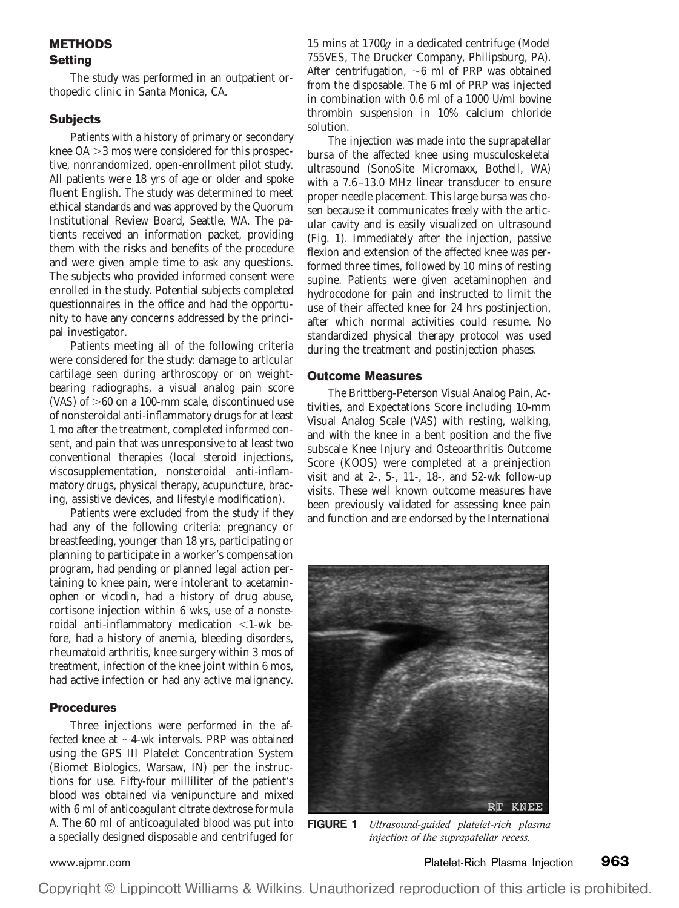# **METHODS Setting**

The study was performed in an outpatient orthopedic clinic in Santa Monica, CA.

#### **Subjects**

Patients with a history of primary or secondary knee OA  $>$ 3 mos were considered for this prospective, nonrandomized, open-enrollment pilot study. All patients were 18 yrs of age or older and spoke fluent English. The study was determined to meet ethical standards and was approved by the Quorum Institutional Review Board, Seattle, WA. The patients received an information packet, providing them with the risks and benefits of the procedure and were given ample time to ask any questions. The subjects who provided informed consent were enrolled in the study. Potential subjects completed questionnaires in the office and had the opportunity to have any concerns addressed by the principal investigator.

Patients meeting all of the following criteria were considered for the study: damage to articular cartilage seen during arthroscopy or on weightbearing radiographs, a visual analog pain score (VAS) of  $>60$  on a 100-mm scale, discontinued use of nonsteroidal anti-inflammatory drugs for at least 1 mo after the treatment, completed informed consent, and pain that was unresponsive to at least two conventional therapies (local steroid injections, viscosupplementation, nonsteroidal anti-inflammatory drugs, physical therapy, acupuncture, bracing, assistive devices, and lifestyle modification).

Patients were excluded from the study if they had any of the following criteria: pregnancy or breastfeeding, younger than 18 yrs, participating or planning to participate in a worker's compensation program, had pending or planned legal action pertaining to knee pain, were intolerant to acetaminophen or vicodin, had a history of drug abuse, cortisone injection within 6 wks, use of a nonsteroidal anti-inflammatory medication  $\leq$ 1-wk before, had a history of anemia, bleeding disorders, rheumatoid arthritis, knee surgery within 3 mos of treatment, infection of the knee joint within 6 mos, had active infection or had any active malignancy.

#### **Procedures**

Three injections were performed in the affected knee at  $\sim$ 4-wk intervals. PRP was obtained using the GPS III Platelet Concentration System (Biomet Biologics, Warsaw, IN) per the instructions for use. Fifty-four milliliter of the patient's blood was obtained via venipuncture and mixed with 6 ml of anticoagulant citrate dextrose formula A. The 60 ml of anticoagulated blood was put into a specially designed disposable and centrifuged for

15 mins at 1700*g* in a dedicated centrifuge (Model 755VES, The Drucker Company, Philipsburg, PA). After centrifugation,  $\sim$ 6 ml of PRP was obtained from the disposable. The 6 ml of PRP was injected in combination with 0.6 ml of a 1000 U/ml bovine thrombin suspension in 10% calcium chloride solution.

The injection was made into the suprapatellar bursa of the affected knee using musculoskeletal ultrasound (SonoSite Micromaxx, Bothell, WA) with a 7.6 –13.0 MHz linear transducer to ensure proper needle placement. This large bursa was chosen because it communicates freely with the articular cavity and is easily visualized on ultrasound (Fig. 1). Immediately after the injection, passive flexion and extension of the affected knee was performed three times, followed by 10 mins of resting supine. Patients were given acetaminophen and hydrocodone for pain and instructed to limit the use of their affected knee for 24 hrs postinjection, after which normal activities could resume. No standardized physical therapy protocol was used during the treatment and postinjection phases.

#### **Outcome Measures**

The Brittberg-Peterson Visual Analog Pain, Activities, and Expectations Score including 10-mm Visual Analog Scale (VAS) with resting, walking, and with the knee in a bent position and the five subscale Knee Injury and Osteoarthritis Outcome Score (KOOS) were completed at a preinjection visit and at 2-, 5-, 11-, 18-, and 52-wk follow-up visits. These well known outcome measures have been previously validated for assessing knee pain and function and are endorsed by the International



**FIGURE 1** *Ultrasound-guided platelet-rich plasma injection of the suprapatellar recess.*

[www.ajpmr.com](http://www.ajpmr.com) Platelet-Rich Plasma Injection **963**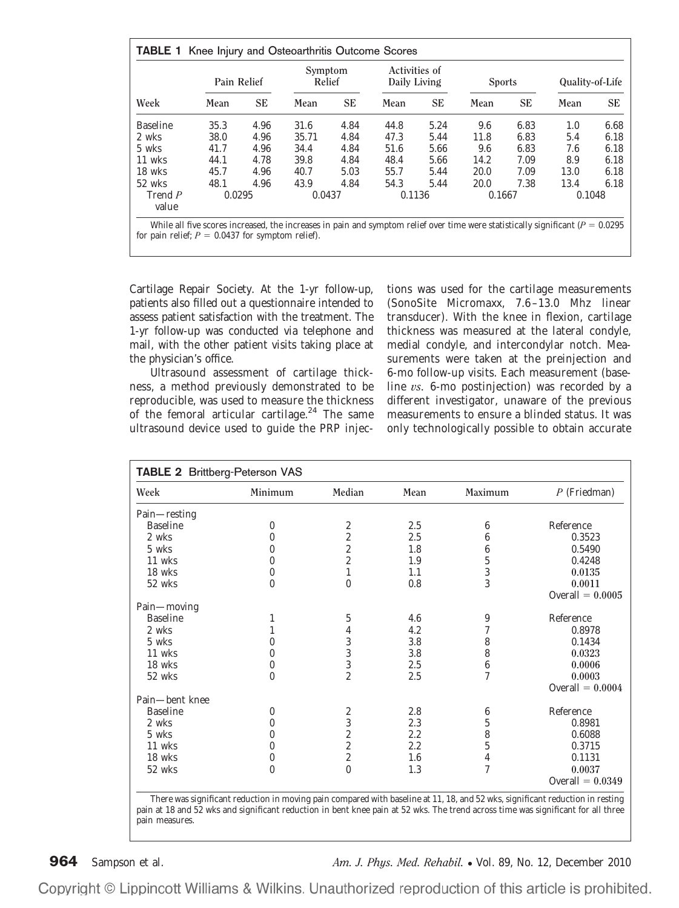| Week             | Pain Relief |      | Symptom<br>Relief |           | Activities of<br>Daily Living |           | <b>Sports</b> |      | Quality-of-Life |           |
|------------------|-------------|------|-------------------|-----------|-------------------------------|-----------|---------------|------|-----------------|-----------|
|                  | Mean        | SЕ   | Mean              | <b>SE</b> | Mean                          | <b>SE</b> | Mean          | SЕ   | Mean            | <b>SE</b> |
| <b>Baseline</b>  | 35.3        | 4.96 | 31.6              | 4.84      | 44.8                          | 5.24      | 9.6           | 6.83 | 1.0             | 6.68      |
| 2 wks            | 38.0        | 4.96 | 35.71             | 4.84      | 47.3                          | 5.44      | 11.8          | 6.83 | 5.4             | 6.18      |
| 5 wks            | 41.7        | 4.96 | 34.4              | 4.84      | 51.6                          | 5.66      | 9.6           | 6.83 | 7.6             | 6.18      |
| 11 wks           | 44.1        | 4.78 | 39.8              | 4.84      | 48.4                          | 5.66      | 14.2          | 7.09 | 8.9             | 6.18      |
| 18 wks           | 45.7        | 4.96 | 40.7              | 5.03      | 55.7                          | 5.44      | 20.0          | 7.09 | 13.0            | 6.18      |
| 52 wks           | 48.1        | 4.96 | 43.9              | 4.84      | 54.3                          | 5.44      | 20.0          | 7.38 | 13.4            | 6.18      |
| Trend P<br>value | 0.0295      |      | 0.0437            |           | 0.1136                        |           | 0.1667        |      | 0.1048          |           |

Cartilage Repair Society. At the 1-yr follow-up, patients also filled out a questionnaire intended to assess patient satisfaction with the treatment. The 1-yr follow-up was conducted via telephone and mail, with the other patient visits taking place at the physician's office.

Ultrasound assessment of cartilage thickness, a method previously demonstrated to be reproducible, was used to measure the thickness of the femoral articular cartilage.<sup>24</sup> The same ultrasound device used to guide the PRP injections was used for the cartilage measurements (SonoSite Micromaxx, 7.6 –13.0 Mhz linear transducer). With the knee in flexion, cartilage thickness was measured at the lateral condyle, medial condyle, and intercondylar notch. Measurements were taken at the preinjection and 6-mo follow-up visits. Each measurement (baseline *vs.* 6-mo postinjection) was recorded by a different investigator, unaware of the previous measurements to ensure a blinded status. It was only technologically possible to obtain accurate

| Week            | Minimum  | Median                  | Mean | Maximum        | $P$ (Friedman)     |
|-----------------|----------|-------------------------|------|----------------|--------------------|
| Pain-resting    |          |                         |      |                |                    |
| <b>Baseline</b> | $\bf{0}$ | $\boldsymbol{2}$        | 2.5  | 6              | Reference          |
| 2 wks           | 0        | $\boldsymbol{2}$        | 2.5  | 6              | 0.3523             |
| 5 wks           | 0        | $\overline{\mathbf{c}}$ | 1.8  | 6              | 0.5490             |
| 11 wks          | 0        | $\overline{\mathbf{c}}$ | 1.9  | 5              | 0.4248             |
| 18 wks          | 0        | $\mathbf{1}$            | 1.1  | 3              | 0.0135             |
| 52 wks          | $\bf{0}$ | $\bf{0}$                | 0.8  | 3              | 0.0011             |
|                 |          |                         |      |                | Overall $= 0.0005$ |
| Pain-moving     |          |                         |      |                |                    |
| <b>Baseline</b> |          | 5                       | 4.6  | 9              | Reference          |
| 2 wks           |          | 4                       | 4.2  | 7              | 0.8978             |
| 5 wks           | 0        | 3                       | 3.8  | 8              | 0.1434             |
| 11 wks          | 0        | $\sqrt{3}$              | 3.8  | 8              | 0.0323             |
| 18 wks          | $\bf{0}$ | 3                       | 2.5  | 6              | 0.0006             |
| 52 wks          | 0        | $\overline{c}$          | 2.5  | $\overline{7}$ | 0.0003             |
|                 |          |                         |      |                | Overall $= 0.0004$ |
| Pain-bent knee  |          |                         |      |                |                    |
| <b>Baseline</b> | 0        | 2                       | 2.8  | 6              | Reference          |
| 2 wks           | 0        | 3                       | 2.3  | 5              | 0.8981             |
| 5 wks           | 0        | $\overline{c}$          | 2.2  | 8              | 0.6088             |
| 11 wks          | 0        | $\overline{c}$          | 2.2  | $\mathbf 5$    | 0.3715             |
| 18 wks          | 0        | $\boldsymbol{2}$        | 1.6  | 4              | 0.1131             |
| 52 wks          | 0        | $\mathbf{0}$            | 1.3  | 7              | 0.0037             |
|                 |          |                         |      |                | Overall $= 0.0349$ |

pain at 18 and 52 wks and significant reduction in bent knee pain at 52 wks. The trend across time was significant for all three pain measures.

**964** Sampson et al. *Am. J. Phys. Med. Rehabil.* ● Vol. 89, No. 12, December 2010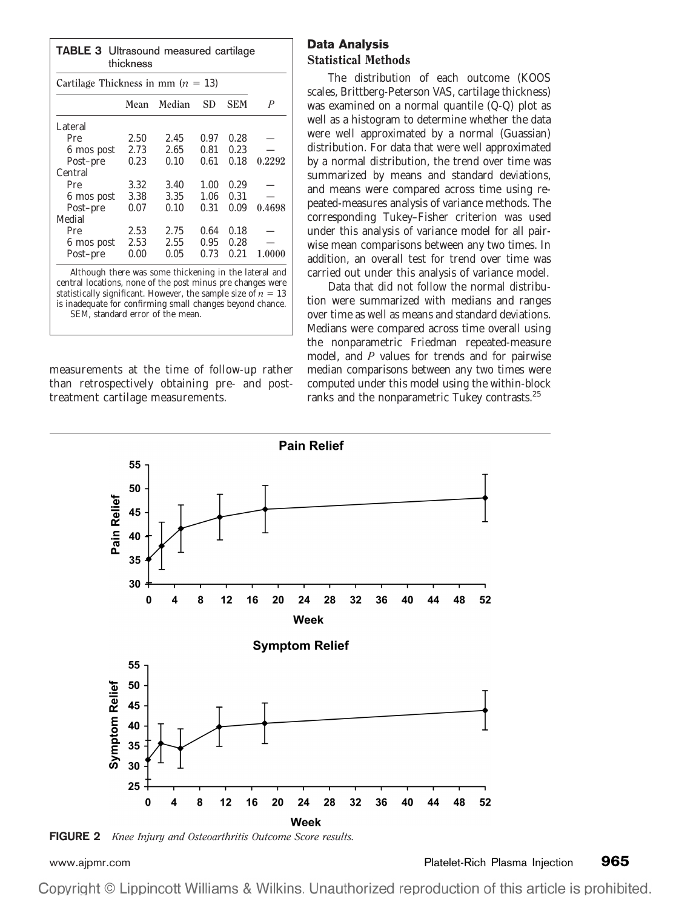| <b>TABLE 3</b> Ultrasound measured cartilage<br>thickness |      |        |      |            |        |  |  |  |
|-----------------------------------------------------------|------|--------|------|------------|--------|--|--|--|
| Cartilage Thickness in mm $(n = 13)$                      |      |        |      |            |        |  |  |  |
|                                                           | Mean | Median | SD   | <b>SEM</b> | P      |  |  |  |
| Lateral                                                   |      |        |      |            |        |  |  |  |
| Pre                                                       | 2.50 | 2.45   | 0.97 | 0.28       |        |  |  |  |
| 6 mos post                                                | 2.73 | 2.65   | 0.81 | 0.23       |        |  |  |  |
| Post-pre                                                  | 0.23 | 0.10   | 0.61 | 0.18       | 0.2292 |  |  |  |
| Central                                                   |      |        |      |            |        |  |  |  |
| Pre                                                       | 3.32 | 3.40   | 1.00 | 0.29       |        |  |  |  |
| 6 mos post                                                | 3.38 | 3.35   | 1.06 | 0.31       |        |  |  |  |
| Post-pre                                                  | 0.07 | 0.10   | 0.31 | 0.09       | 0.4698 |  |  |  |
| Medial                                                    |      |        |      |            |        |  |  |  |
| Pre                                                       | 2.53 | 2.75   | 0.64 | 0.18       |        |  |  |  |
| 6 mos post                                                | 2.53 | 2.55   | 0.95 | 0.28       |        |  |  |  |
| Post-pre                                                  | 0.00 | 0.05   | 0.73 | 0.21       | 1.0000 |  |  |  |

Although there was some thickening in the lateral and central locations, none of the post minus pre changes were statistically significant. However, the sample size of  $n = 13$ is inadequate for confirming small changes beyond chance. SEM, standard error of the mean.

measurements at the time of follow-up rather than retrospectively obtaining pre- and posttreatment cartilage measurements.

# **Data Analysis** Statistical Methods

The distribution of each outcome (KOOS scales, Brittberg-Peterson VAS, cartilage thickness) was examined on a normal quantile (Q-Q) plot as well as a histogram to determine whether the data were well approximated by a normal (Guassian) distribution. For data that were well approximated by a normal distribution, the trend over time was summarized by means and standard deviations, and means were compared across time using repeated-measures analysis of variance methods. The corresponding Tukey–Fisher criterion was used under this analysis of variance model for all pairwise mean comparisons between any two times. In addition, an overall test for trend over time was carried out under this analysis of variance model.

Data that did not follow the normal distribution were summarized with medians and ranges over time as well as means and standard deviations. Medians were compared across time overall using the nonparametric Friedman repeated-measure model, and *P* values for trends and for pairwise median comparisons between any two times were computed under this model using the within-block ranks and the nonparametric Tukey contrasts.<sup>25</sup>



**FIGURE 2** *Knee Injury and Osteoarthritis Outcome Score results.*

[www.ajpmr.com](http://www.ajpmr.com) Platelet-Rich Plasma Injection **965**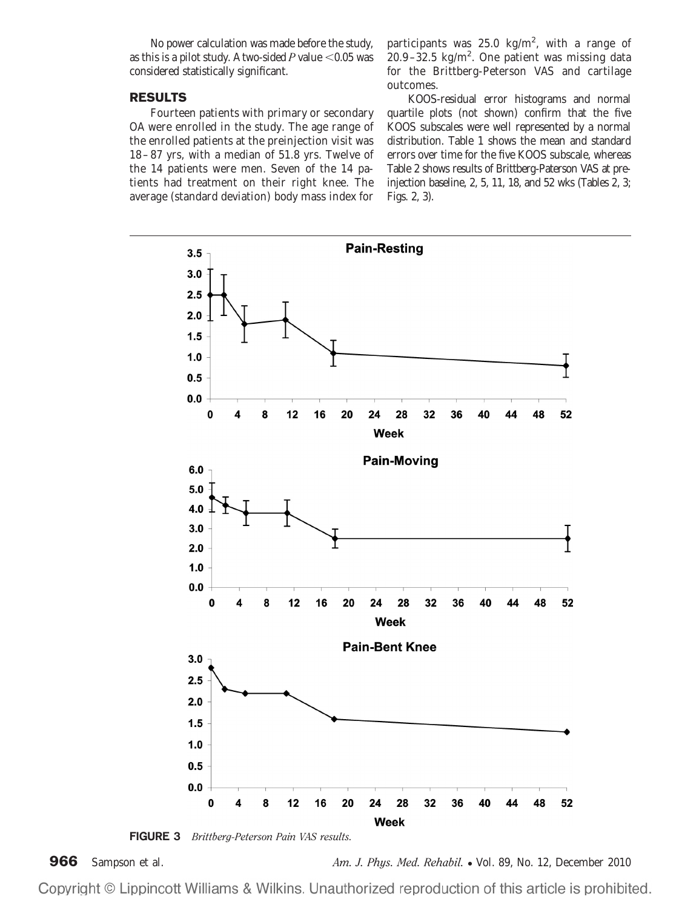No power calculation was made before the study, as this is a pilot study. A two-sided  $P$  value  $<$  0.05 was considered statistically significant.

#### **RESULTS**

Fourteen patients with primary or secondary OA were enrolled in the study. The age range of the enrolled patients at the preinjection visit was 18 – 87 yrs, with a median of 51.8 yrs. Twelve of the 14 patients were men. Seven of the 14 patients had treatment on their right knee. The average (standard deviation) body mass index for

participants was 25.0  $\text{kg/m}^2$ , with a range of  $20.9 - 32.5$  kg/m<sup>2</sup>. One patient was missing data for the Brittberg-Peterson VAS and cartilage outcomes.

KOOS-residual error histograms and normal quartile plots (not shown) confirm that the five KOOS subscales were well represented by a normal distribution. Table 1 shows the mean and standard errors over time for the five KOOS subscale, whereas Table 2 shows results of Brittberg-Paterson VAS at preinjection baseline, 2, 5, 11, 18, and 52 wks (Tables 2, 3; Figs. 2, 3).





**966** Sampson et al. *Am. J. Phys. Med. Rehabil.* ● Vol. 89, No. 12, December 2010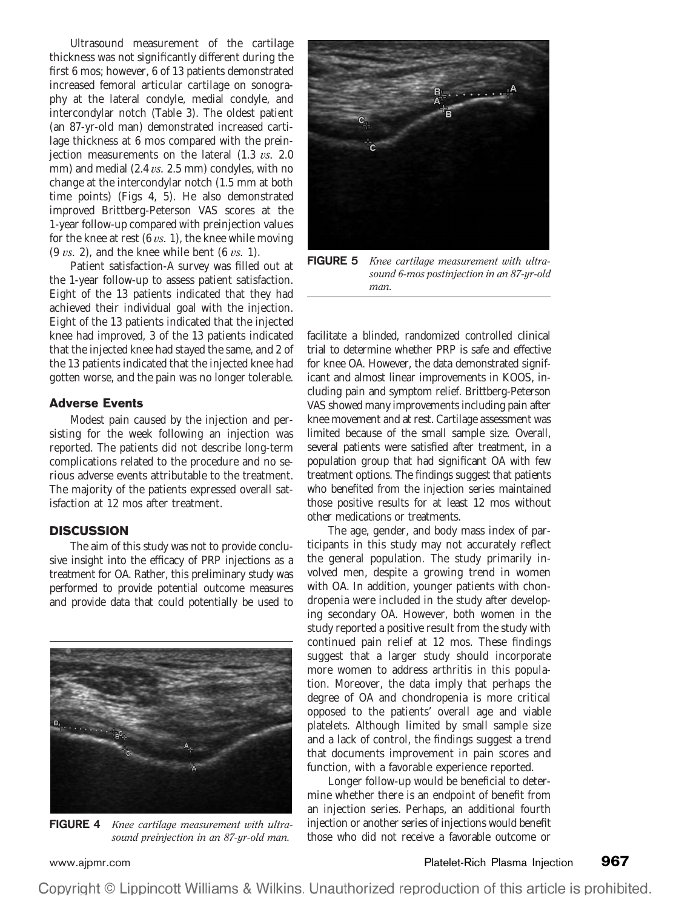Ultrasound measurement of the cartilage thickness was not significantly different during the first 6 mos; however, 6 of 13 patients demonstrated increased femoral articular cartilage on sonography at the lateral condyle, medial condyle, and intercondylar notch (Table 3). The oldest patient (an 87-yr-old man) demonstrated increased cartilage thickness at 6 mos compared with the preinjection measurements on the lateral (1.3 *vs.* 2.0 mm) and medial (2.4 *vs.* 2.5 mm) condyles, with no change at the intercondylar notch (1.5 mm at both time points) (Figs 4, 5). He also demonstrated improved Brittberg-Peterson VAS scores at the 1-year follow-up compared with preinjection values for the knee at rest (6 *vs.* 1), the knee while moving (9 *vs.* 2), and the knee while bent (6 *vs.* 1).

Patient satisfaction-A survey was filled out at the 1-year follow-up to assess patient satisfaction. Eight of the 13 patients indicated that they had achieved their individual goal with the injection. Eight of the 13 patients indicated that the injected knee had improved, 3 of the 13 patients indicated that the injected knee had stayed the same, and 2 of the 13 patients indicated that the injected knee had gotten worse, and the pain was no longer tolerable.

## **Adverse Events**

Modest pain caused by the injection and persisting for the week following an injection was reported. The patients did not describe long-term complications related to the procedure and no serious adverse events attributable to the treatment. The majority of the patients expressed overall satisfaction at 12 mos after treatment.

## **DISCUSSION**

The aim of this study was not to provide conclusive insight into the efficacy of PRP injections as a treatment for OA. Rather, this preliminary study was performed to provide potential outcome measures and provide data that could potentially be used to



**FIGURE 4** *Knee cartilage measurement with ultrasound preinjection in an 87-yr-old man.*



**FIGURE 5** *Knee cartilage measurement with ultrasound 6-mos postinjection in an 87-yr-old man.*

facilitate a blinded, randomized controlled clinical trial to determine whether PRP is safe and effective for knee OA. However, the data demonstrated significant and almost linear improvements in KOOS, including pain and symptom relief. Brittberg-Peterson VAS showed many improvements including pain after knee movement and at rest. Cartilage assessment was limited because of the small sample size. Overall, several patients were satisfied after treatment, in a population group that had significant OA with few treatment options. The findings suggest that patients who benefited from the injection series maintained those positive results for at least 12 mos without other medications or treatments.

The age, gender, and body mass index of participants in this study may not accurately reflect the general population. The study primarily involved men, despite a growing trend in women with OA. In addition, younger patients with chondropenia were included in the study after developing secondary OA. However, both women in the study reported a positive result from the study with continued pain relief at 12 mos. These findings suggest that a larger study should incorporate more women to address arthritis in this population. Moreover, the data imply that perhaps the degree of OA and chondropenia is more critical opposed to the patients' overall age and viable platelets. Although limited by small sample size and a lack of control, the findings suggest a trend that documents improvement in pain scores and function, with a favorable experience reported.

Longer follow-up would be beneficial to determine whether there is an endpoint of benefit from an injection series. Perhaps, an additional fourth injection or another series of injections would benefit those who did not receive a favorable outcome or

[www.ajpmr.com](http://www.ajpmr.com) Platelet-Rich Plasma Injection **967**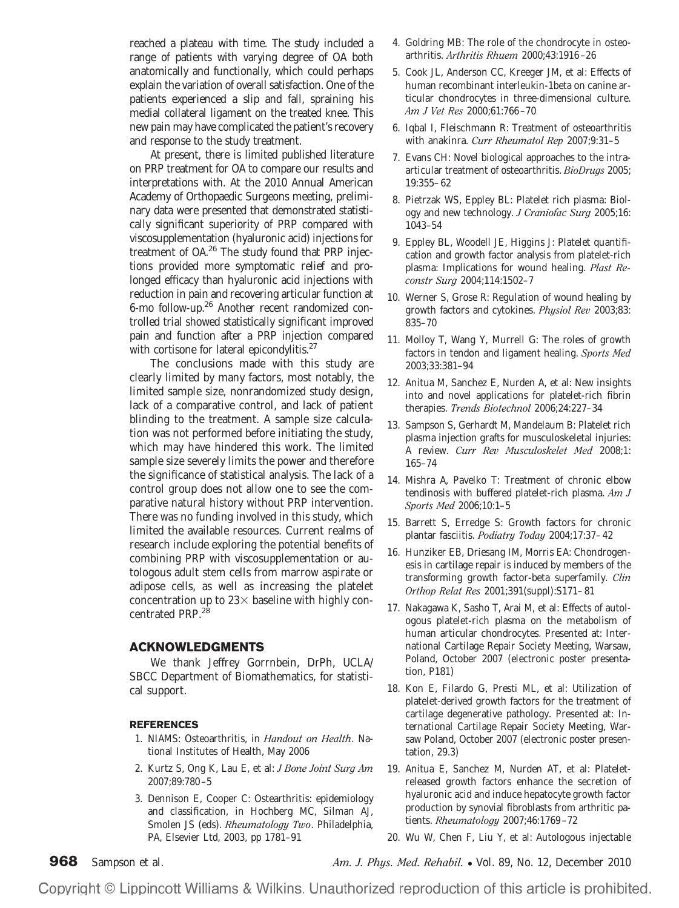reached a plateau with time. The study included a range of patients with varying degree of OA both anatomically and functionally, which could perhaps explain the variation of overall satisfaction. One of the patients experienced a slip and fall, spraining his medial collateral ligament on the treated knee. This new pain may have complicated the patient's recovery and response to the study treatment.

At present, there is limited published literature on PRP treatment for OA to compare our results and interpretations with. At the 2010 Annual American Academy of Orthopaedic Surgeons meeting, preliminary data were presented that demonstrated statistically significant superiority of PRP compared with viscosupplementation (hyaluronic acid) injections for treatment of OA.26 The study found that PRP injections provided more symptomatic relief and prolonged efficacy than hyaluronic acid injections with reduction in pain and recovering articular function at 6-mo follow-up.26 Another recent randomized controlled trial showed statistically significant improved pain and function after a PRP injection compared with cortisone for lateral epicondylitis.<sup>27</sup>

The conclusions made with this study are clearly limited by many factors, most notably, the limited sample size, nonrandomized study design, lack of a comparative control, and lack of patient blinding to the treatment. A sample size calculation was not performed before initiating the study, which may have hindered this work. The limited sample size severely limits the power and therefore the significance of statistical analysis. The lack of a control group does not allow one to see the comparative natural history without PRP intervention. There was no funding involved in this study, which limited the available resources. Current realms of research include exploring the potential benefits of combining PRP with viscosupplementation or autologous adult stem cells from marrow aspirate or adipose cells, as well as increasing the platelet concentration up to  $23\times$  baseline with highly concentrated PRP.<sup>28</sup>

#### **ACKNOWLEDGMENTS**

We thank Jeffrey Gorrnbein, DrPh, UCLA/ SBCC Department of Biomathematics, for statistical support.

#### **REFERENCES**

- 1. NIAMS: Osteoarthritis, in *Handout on Health*. National Institutes of Health, May 2006
- 2. Kurtz S, Ong K, Lau E, et al: *J Bone Joint Surg Am* 2007;89:780 –5
- 3. Dennison E, Cooper C: Ostearthritis: epidemiology and classification, in Hochberg MC, Silman AJ, Smolen JS (eds). *Rheumatology Two*. Philadelphia, PA, Elsevier Ltd, 2003, pp 1781–91
- 4. Goldring MB: The role of the chondrocyte in osteoarthritis. *Arthritis Rhuem* 2000;43:1916 –26
- 5. Cook JL, Anderson CC, Kreeger JM, et al: Effects of human recombinant interleukin-1beta on canine articular chondrocytes in three-dimensional culture. *Am J Vet Res* 2000;61:766 –70
- 6. Iqbal I, Fleischmann R: Treatment of osteoarthritis with anakinra. *Curr Rheumatol Rep* 2007;9:31–5
- 7. Evans CH: Novel biological approaches to the intraarticular treatment of osteoarthritis. *BioDrugs* 2005; 19:355– 62
- 8. Pietrzak WS, Eppley BL: Platelet rich plasma: Biology and new technology. *J Craniofac Surg* 2005;16: 1043–54
- 9. Eppley BL, Woodell JE, Higgins J: Platelet quantification and growth factor analysis from platelet-rich plasma: Implications for wound healing. *Plast Reconstr Surg* 2004;114:1502–7
- 10. Werner S, Grose R: Regulation of wound healing by growth factors and cytokines. *Physiol Rev* 2003;83: 835–70
- 11. Molloy T, Wang Y, Murrell G: The roles of growth factors in tendon and ligament healing. *Sports Med* 2003;33:381–94
- 12. Anitua M, Sanchez E, Nurden A, et al: New insights into and novel applications for platelet-rich fibrin therapies. *Trends Biotechnol* 2006;24:227–34
- 13. Sampson S, Gerhardt M, Mandelaum B: Platelet rich plasma injection grafts for musculoskeletal injuries: A review. *Curr Rev Musculoskelet Med* 2008;1: 165–74
- 14. Mishra A, Pavelko T: Treatment of chronic elbow tendinosis with buffered platelet-rich plasma. *Am J Sports Med* 2006;10:1–5
- 15. Barrett S, Erredge S: Growth factors for chronic plantar fasciitis. *Podiatry Today* 2004;17:37– 42
- 16. Hunziker EB, Driesang IM, Morris EA: Chondrogenesis in cartilage repair is induced by members of the transforming growth factor-beta superfamily. *Clin Orthop Relat Res* 2001;391(suppl):S171– 81
- 17. Nakagawa K, Sasho T, Arai M, et al: Effects of autologous platelet-rich plasma on the metabolism of human articular chondrocytes. Presented at: International Cartilage Repair Society Meeting, Warsaw, Poland, October 2007 (electronic poster presentation, P181)
- 18. Kon E, Filardo G, Presti ML, et al: Utilization of platelet-derived growth factors for the treatment of cartilage degenerative pathology. Presented at: International Cartilage Repair Society Meeting, Warsaw Poland, October 2007 (electronic poster presentation, 29.3)
- 19. Anitua E, Sanchez M, Nurden AT, et al: Plateletreleased growth factors enhance the secretion of hyaluronic acid and induce hepatocyte growth factor production by synovial fibroblasts from arthritic patients. *Rheumatology* 2007;46:1769 –72
- 20. Wu W, Chen F, Liu Y, et al: Autologous injectable

**968** Sampson et al. *Am. J. Phys. Med. Rehabil.* ● Vol. 89, No. 12, December 2010